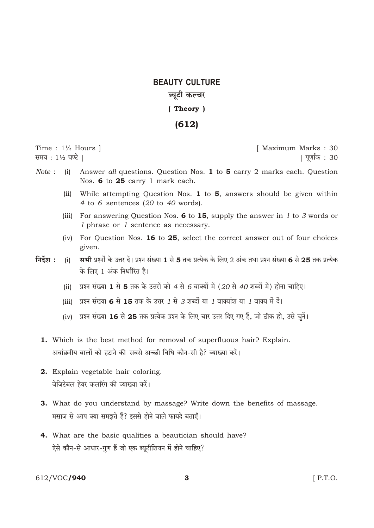## **BEAUTY CULTURE** ब्युटी कल्चर

## (Theory)

## $(612)$

Time :  $1\frac{1}{2}$  Hours ] समय: 11/2 घण्टे ।

[ Maximum Marks: 30 | पूर्णांक : 30

- $Note:$ Answer all questions. Question Nos. 1 to 5 carry 2 marks each. Question  $(i)$ Nos. 6 to 25 carry 1 mark each.
	- (ii) While attempting Question Nos. 1 to 5, answers should be given within 4 to 6 sentences  $(20 \text{ to } 40 \text{ words}).$
	- (iii) For answering Question Nos. 6 to 15, supply the answer in 1 to 3 words or 1 phrase or 1 sentence as necessary.
	- (iv) For Question Nos. 16 to 25, select the correct answer out of four choices given.
- निर्देश $:$ सभी प्रश्नों के उत्तर दें। प्रश्न संख्या 1 से 5 तक प्रत्येक के लिए 2 अंक तथा प्रश्न संख्या 6 से 25 तक प्रत्येक  $(i)$ के लिए 1 अंक निर्धारित है।
	- (ii) प्रश्न संख्या 1 से 5 तक के उत्तरों को 4 से 6 वाक्यों में (20 से 40 शब्दों में) होना चाहिए।
	- (iii) प्रश्न संख्या 6 से 15 तक के उत्तर 1 से 3 शब्दों या 1 वाक्यांश या 1 वाक्य में दें।
	- (iv) प्रश्न संख्या 16 से 25 तक प्रत्येक प्रश्न के लिए चार उत्तर दिए गए हैं, जो ठीक हो, उसे चुनें।
	- 1. Which is the best method for removal of superfluous hair? Explain. अवांछनीय बालों को हटाने की सबसे अच्छी विधि कौन-सी है? व्याख्या करें।
	- 2. Explain vegetable hair coloring. वेजिटेबल हेयर कलरिंग की व्याख्या करें।
	- 3. What do you understand by massage? Write down the benefits of massage. मसाज से आप क्या समझते हैं? इससे होने वाले फायदे बताएँ।
	- 4. What are the basic qualities a beautician should have? ऐसे कौन-से आधार-गुण हैं जो एक ब्यूटीशियन में होने चाहिए?

612/VOC/940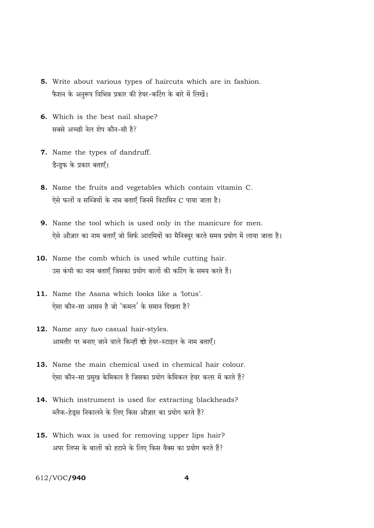- 5. Write about various types of haircuts which are in fashion. फैशन के अनुरूप विभिन्न प्रकार की हेयर-कटिंग के बारे में लिखें।
- 6. Which is the best nail shape? सबसे अच्छी नेल शेप कौन-सी है?
- 7. Name the types of dandruff. डैन्डफ के प्रकार बताएँ।
- 8. Name the fruits and vegetables which contain vitamin C. ऐसे फलों व सब्जियों के नाम बताएँ जिनमें विटामिन C पाया जाता है।
- 9. Name the tool which is used only in the manicure for men. ऐसे औज़ार का नाम बताएँ जो सिर्फ आदमियों का मैनिक्युर करते समय प्रयोग में लाया जाता है।
- 10. Name the comb which is used while cutting hair. उस कंघी का नाम बताएँ जिसका प्रयोग बालों की कटिंग के समय करते हैं।
- 11. Name the Asana which looks like a 'lotus'. ऐसा कौन-सा आसन है जो 'कमल' के समान दिखता है?
- 12. Name any two casual hair-styles. आमतौर पर बनाए जाने वाले किन्हीं दो हेयर-स्टाइल के नाम बताएँ।
- 13. Name the main chemical used in chemical hair colour. ऐसा कौन-सा प्रमुख केमिकल है जिसका प्रयोग केमिकल हेयर कलर में करते हैं?
- 14. Which instrument is used for extracting blackheads? ब्लैक-हेड्स निकालने के लिए किस औज़ार का प्रयोग करते हैं?
- 15. Which wax is used for removing upper lips hair? अपर लिप्स के बालों को हटाने के लिए किस वैक्स का प्रयोग करते हैं?

612/VOC/940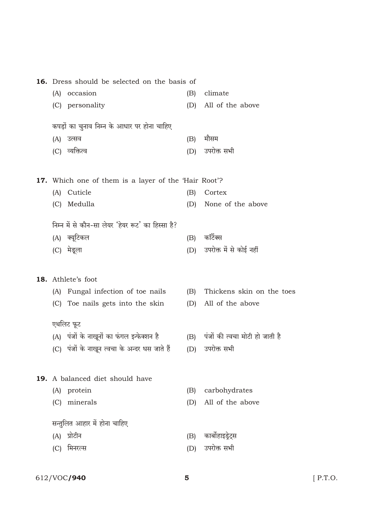| Dress should be selected on the basis of                    |     |                                    |
|-------------------------------------------------------------|-----|------------------------------------|
| occasion<br>(A)                                             | (B) | climate                            |
| (C) personality                                             | (D) | All of the above                   |
|                                                             |     |                                    |
| कपड़ों का चुनाव निम्न के आधार पर होना चाहिए                 |     |                                    |
| उत्सव<br>(A)                                                | (B) | मौसम                               |
| (C) व्यक्तित्व                                              | (D) | उपरोक्त सभी                        |
|                                                             |     |                                    |
| <b>17.</b> Which one of them is a layer of the 'Hair Root'? |     |                                    |
| Cuticle<br>(A)                                              | (B) | Cortex                             |
| Medulla<br>(C)                                              | (D) | None of the above                  |
|                                                             |     |                                    |
| निम्न में से कौन-सा लेयर 'हेयर रूट' का हिस्सा है?           |     |                                    |
| (A) क्यूटिकल                                                | (B) | कॉर्टेक्स                          |
| (C) मेडूला                                                  | (D) | उपरोक्त में से कोई नहीं            |
|                                                             |     |                                    |
| 18. Athlete's foot                                          |     |                                    |
| (A) Fungal infection of toe nails                           | (B) | Thickens skin on the toes          |
| (C) Toe nails gets into the skin                            | (D) | All of the above                   |
|                                                             |     |                                    |
| एथलिट फूट                                                   |     |                                    |
| (A) पंजों के नाखूनों का फंगल इन्फेक्शन है                   |     | (B) पंजों की त्वचा मोटी हो जाती है |
| (C) पंजों के नाखून त्वचा के अन्दर धस जाते हैं               | (D) | उपरोक्त सभी                        |
|                                                             |     |                                    |
| <b>19.</b> A balanced diet should have                      |     |                                    |
| protein<br>(A)                                              | (B) | carbohydrates                      |
| minerals<br>(C)                                             | (D) | All of the above                   |
|                                                             |     |                                    |
| सन्तुलित आहार में होना चाहिए                                |     |                                    |
| प्रोटीन<br>(A)                                              | (B) | कार्बोहाइड्रेट्स                   |
| मिनरल्स<br>(C)                                              |     | (D) उपरोक्त सभी                    |
|                                                             |     |                                    |

16. Dress should be selected on the basis of

612/VOC**/940** 

 $[$  P.T.O.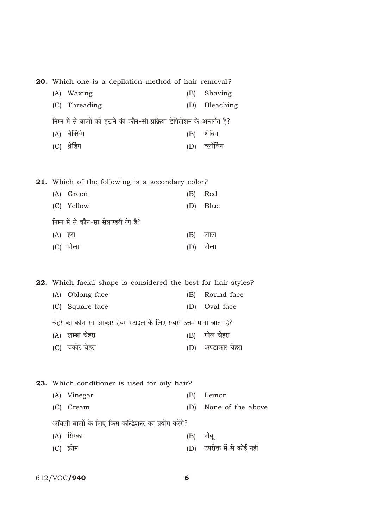| <b>20.</b> Which one is a depilation method of hair removal?             |     |           |
|--------------------------------------------------------------------------|-----|-----------|
| (A) Waxing                                                               | (B) | Shaving   |
| (C) Threading                                                            | (D) | Bleaching |
| निम्न में से बालों को हटाने की कौन-सी प्रक्रिया डेपिलेशन के अन्तर्गत है? |     |           |
| (A) वैक्सिंग                                                             | (B) | शेविंग    |
| थ्रेडिंग                                                                 |     |           |

21. Which of the following is a secondary color?

| (A) Green                            |     | (B) Red  |
|--------------------------------------|-----|----------|
| (C) Yellow                           |     | (D) Blue |
| निम्न में से कौन-सा सेकण्डरी रंग है? |     |          |
| (A) हरा                              |     | (B) लाल  |
| पीला<br>(C)                          | (D) | नीला     |

22. Which facial shape is considered the best for hair-styles? (A) Oblong face (B) Round face (C) Square face (D) Oval face चेहरे का कौन-सा आकार हेयर-स्टाइल के लिए सबसे उत्तम माना जाता है? (A) लम्बा चेहरा (B) गोल चेहरा (C) चकोर चेहरा (D) अण्डाकार चेहरा

23. Which conditioner is used for oily hair?

|                                                  | (A) Vinegar | (B)      | Lemon                       |  |
|--------------------------------------------------|-------------|----------|-----------------------------|--|
|                                                  | (C) Cream   |          | (D) None of the above       |  |
| ऑयली बालों के लिए किस कन्डिशनर का प्रयोग करेंगे? |             |          |                             |  |
|                                                  | (A) सिरका   | (B) नीबू |                             |  |
|                                                  | (C) क्रीम   |          | (D) उपरोक्त में से कोई नहीं |  |
|                                                  |             |          |                             |  |

612/VOC/940